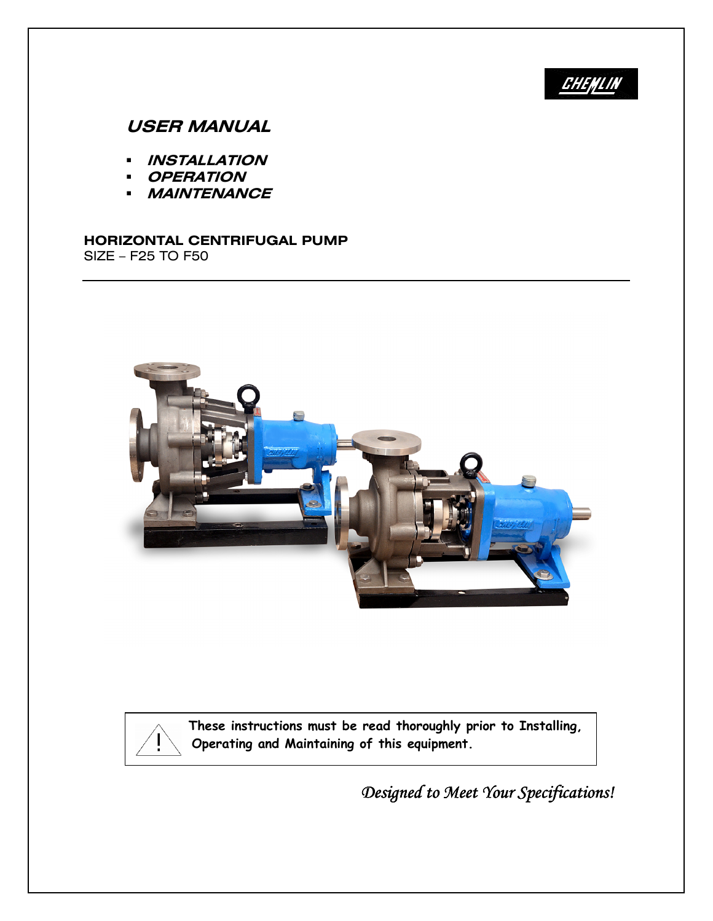# **CHENLIN**

# USER MANUAL

- INSTALLATION
- **OPERATION**
- **MAINTENANCE**

#### HORIZONTAL CENTRIFUGAL PUMP SIZE – F25 TO F50





These instructions must be read thoroughly prior to Installing,  $\mathbf{C} = \begin{bmatrix} 1 & 1 \\ 1 & 1 \end{bmatrix}$  operating and Maintaining of this equipment.

Designed to Meet Your Specifications!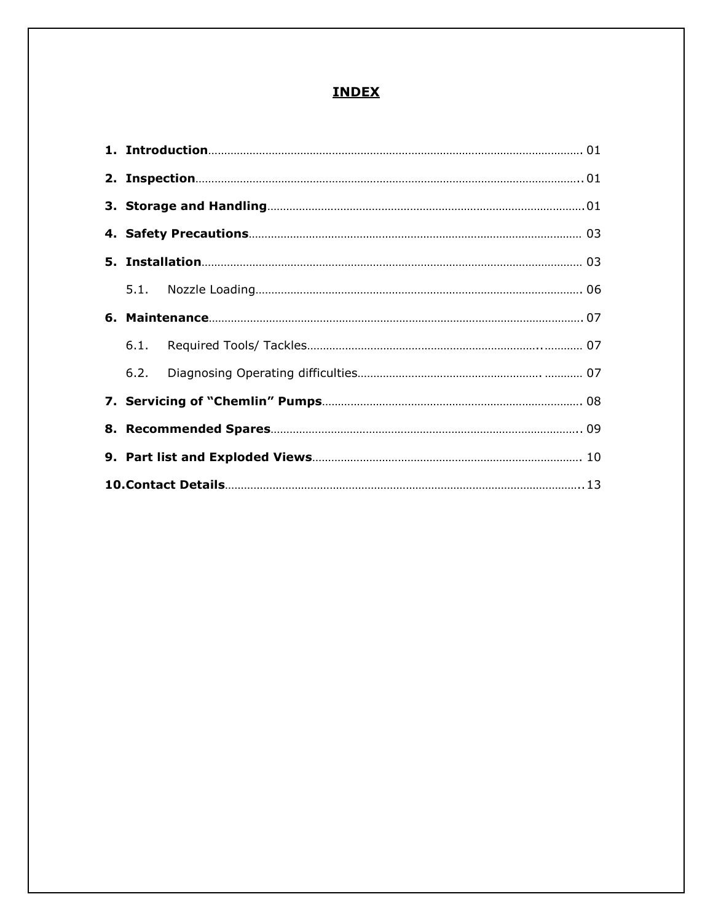# INDEX

| 6.2. |  |
|------|--|
|      |  |
|      |  |
|      |  |
|      |  |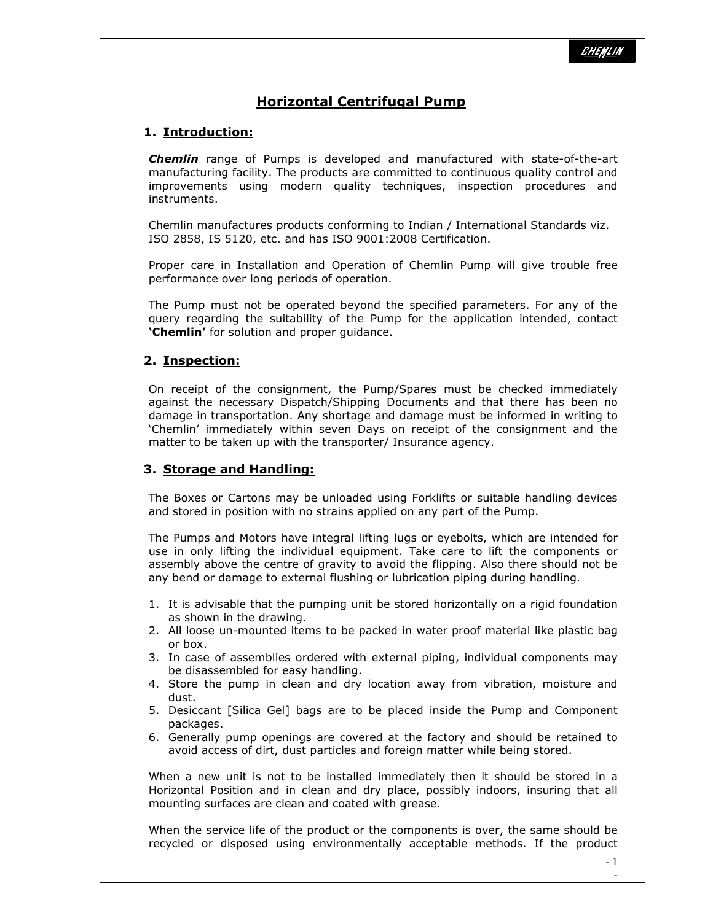## Horizontal Centrifugal Pump

## 1. Introduction:

Chemlin range of Pumps is developed and manufactured with state-of-the-art manufacturing facility. The products are committed to continuous quality control and improvements using modern quality techniques, inspection procedures and instruments.

Chemlin manufactures products conforming to Indian / International Standards viz. ISO 2858, IS 5120, etc. and has ISO 9001:2008 Certification.

 Proper care in Installation and Operation of Chemlin Pump will give trouble free performance over long periods of operation.

The Pump must not be operated beyond the specified parameters. For any of the query regarding the suitability of the Pump for the application intended, contact 'Chemlin' for solution and proper quidance.

#### 2. Inspection:

On receipt of the consignment, the Pump/Spares must be checked immediately against the necessary Dispatch/Shipping Documents and that there has been no damage in transportation. Any shortage and damage must be informed in writing to 'Chemlin' immediately within seven Days on receipt of the consignment and the matter to be taken up with the transporter/ Insurance agency.

#### 3. Storage and Handling:

The Boxes or Cartons may be unloaded using Forklifts or suitable handling devices and stored in position with no strains applied on any part of the Pump.

The Pumps and Motors have integral lifting lugs or eyebolts, which are intended for use in only lifting the individual equipment. Take care to lift the components or assembly above the centre of gravity to avoid the flipping. Also there should not be any bend or damage to external flushing or lubrication piping during handling.

- 1. It is advisable that the pumping unit be stored horizontally on a rigid foundation as shown in the drawing.
- 2. All loose un-mounted items to be packed in water proof material like plastic bag or box.
- 3. In case of assemblies ordered with external piping, individual components may be disassembled for easy handling.
- 4. Store the pump in clean and dry location away from vibration, moisture and dust.
- 5. Desiccant [Silica Gel] bags are to be placed inside the Pump and Component packages.
- 6. Generally pump openings are covered at the factory and should be retained to avoid access of dirt, dust particles and foreign matter while being stored.

When a new unit is not to be installed immediately then it should be stored in a Horizontal Position and in clean and dry place, possibly indoors, insuring that all mounting surfaces are clean and coated with grease.

When the service life of the product or the components is over, the same should be recycled or disposed using environmentally acceptable methods. If the product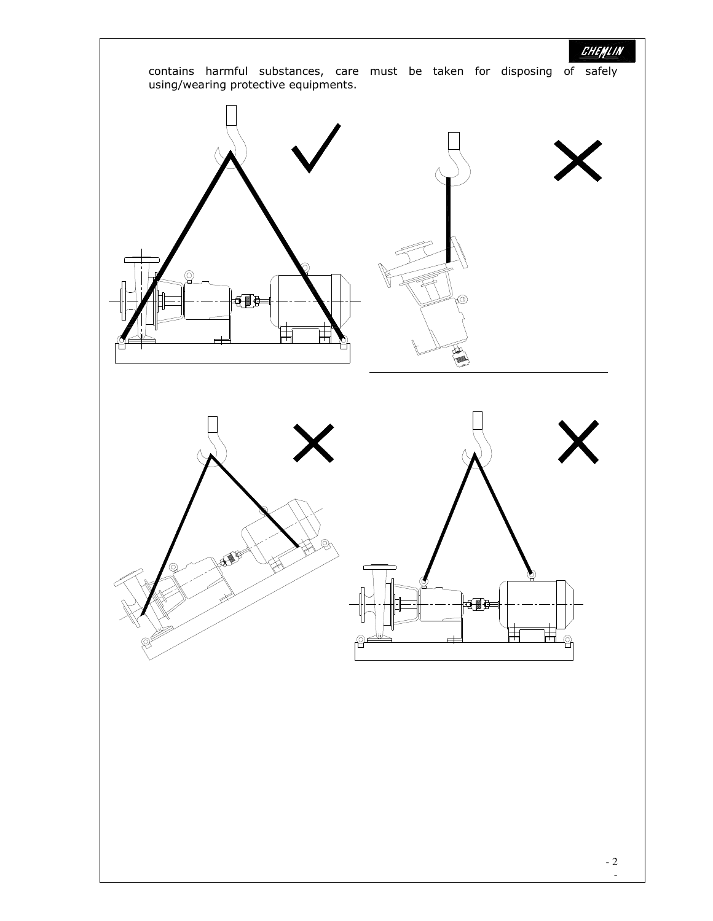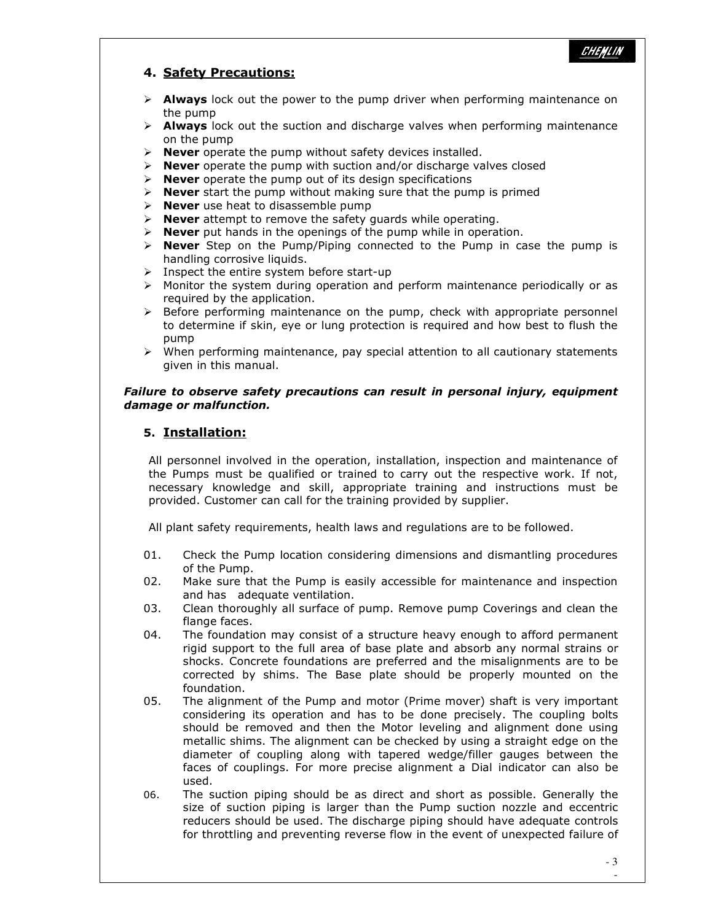#### 4. Safety Precautions:

- $\triangleright$  **Always** lock out the power to the pump driver when performing maintenance on the pump
- $\triangleright$  **Always** lock out the suction and discharge valves when performing maintenance on the pump
- $\triangleright$  Never operate the pump without safety devices installed.
- $\triangleright$  Never operate the pump with suction and/or discharge valves closed
- $\triangleright$  **Never** operate the pump out of its design specifications
- $\triangleright$  **Never** start the pump without making sure that the pump is primed
- $\triangleright$  **Never** use heat to disassemble pump
- $\triangleright$  **Never** attempt to remove the safety guards while operating.
- $\triangleright$  **Never** put hands in the openings of the pump while in operation.
- $\triangleright$  **Never** Step on the Pump/Piping connected to the Pump in case the pump is handling corrosive liquids.
- $\triangleright$  Inspect the entire system before start-up
- Monitor the system during operation and perform maintenance periodically or as required by the application.
- $\triangleright$  Before performing maintenance on the pump, check with appropriate personnel to determine if skin, eye or lung protection is required and how best to flush the pump
- $\triangleright$  When performing maintenance, pay special attention to all cautionary statements given in this manual.

#### Failure to observe safety precautions can result in personal injury, equipment damage or malfunction.

### 5. Installation:

All personnel involved in the operation, installation, inspection and maintenance of the Pumps must be qualified or trained to carry out the respective work. If not, necessary knowledge and skill, appropriate training and instructions must be provided. Customer can call for the training provided by supplier.

All plant safety requirements, health laws and regulations are to be followed.

- 01. Check the Pump location considering dimensions and dismantling procedures of the Pump.
- 02. Make sure that the Pump is easily accessible for maintenance and inspection and has adequate ventilation.
- 03. Clean thoroughly all surface of pump. Remove pump Coverings and clean the flange faces.
- 04. The foundation may consist of a structure heavy enough to afford permanent rigid support to the full area of base plate and absorb any normal strains or shocks. Concrete foundations are preferred and the misalignments are to be corrected by shims. The Base plate should be properly mounted on the foundation.
- 05. The alignment of the Pump and motor (Prime mover) shaft is very important considering its operation and has to be done precisely. The coupling bolts should be removed and then the Motor leveling and alignment done using metallic shims. The alignment can be checked by using a straight edge on the diameter of coupling along with tapered wedge/filler gauges between the faces of couplings. For more precise alignment a Dial indicator can also be used.
- 06. The suction piping should be as direct and short as possible. Generally the size of suction piping is larger than the Pump suction nozzle and eccentric reducers should be used. The discharge piping should have adequate controls for throttling and preventing reverse flow in the event of unexpected failure of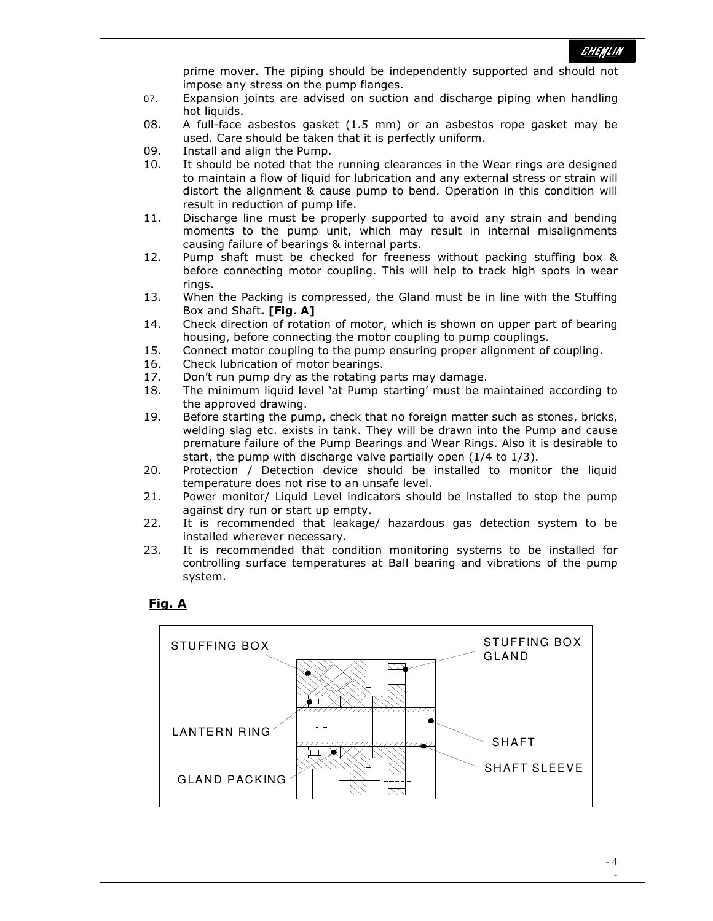

prime mover. The piping should be independently supported and should not impose any stress on the pump flanges.

- 07. Expansion joints are advised on suction and discharge piping when handling hot liquids.
- 08. A full-face asbestos gasket (1.5 mm) or an asbestos rope gasket may be used. Care should be taken that it is perfectly uniform.
- 09. Install and align the Pump.
- 10. It should be noted that the running clearances in the Wear rings are designed to maintain a flow of liquid for lubrication and any external stress or strain will distort the alignment & cause pump to bend. Operation in this condition will result in reduction of pump life.
- 11. Discharge line must be properly supported to avoid any strain and bending moments to the pump unit, which may result in internal misalignments causing failure of bearings & internal parts.
- 12. Pump shaft must be checked for freeness without packing stuffing box & before connecting motor coupling. This will help to track high spots in wear rings.
- 13. When the Packing is compressed, the Gland must be in line with the Stuffing Box and Shaft. **[Fig. A]**
- 14. Check direction of rotation of motor, which is shown on upper part of bearing housing, before connecting the motor coupling to pump couplings.
- 15. Connect motor coupling to the pump ensuring proper alignment of coupling.
- 16. Check lubrication of motor bearings.
- 17. Don't run pump dry as the rotating parts may damage.
- 18. The minimum liquid level 'at Pump starting' must be maintained according to the approved drawing.
- 19. Before starting the pump, check that no foreign matter such as stones, bricks, welding slag etc. exists in tank. They will be drawn into the Pump and cause premature failure of the Pump Bearings and Wear Rings. Also it is desirable to start, the pump with discharge valve partially open (1/4 to 1/3).
- 20. Protection / Detection device should be installed to monitor the liquid temperature does not rise to an unsafe level.
- 21. Power monitor/ Liquid Level indicators should be installed to stop the pump against dry run or start up empty.
- 22. It is recommended that leakage/ hazardous gas detection system to be installed wherever necessary.
- 23. It is recommended that condition monitoring systems to be installed for controlling surface temperatures at Ball bearing and vibrations of the pump system.

#### Fig. A

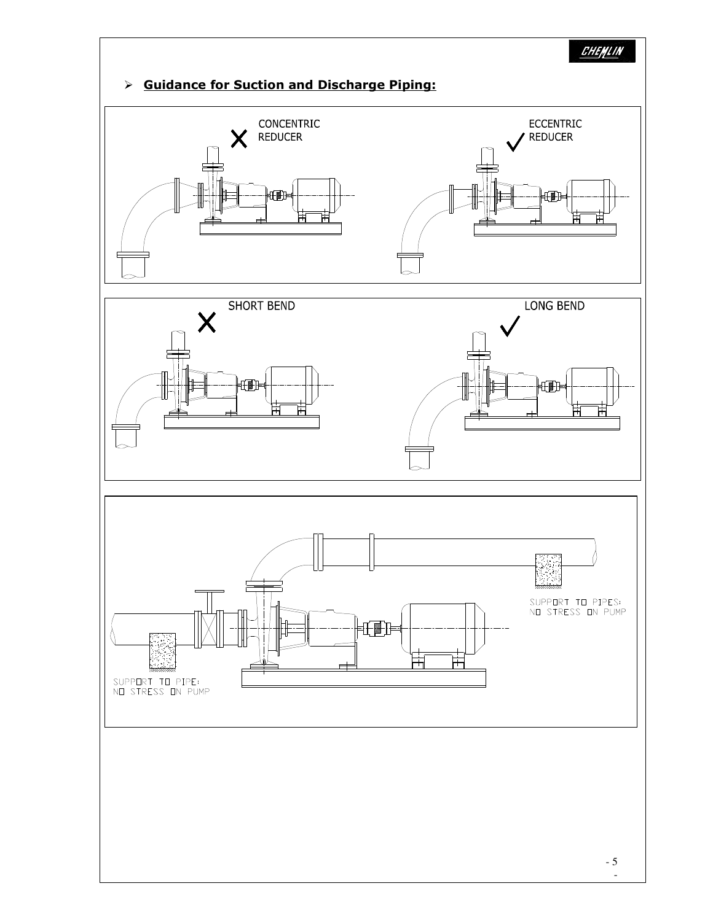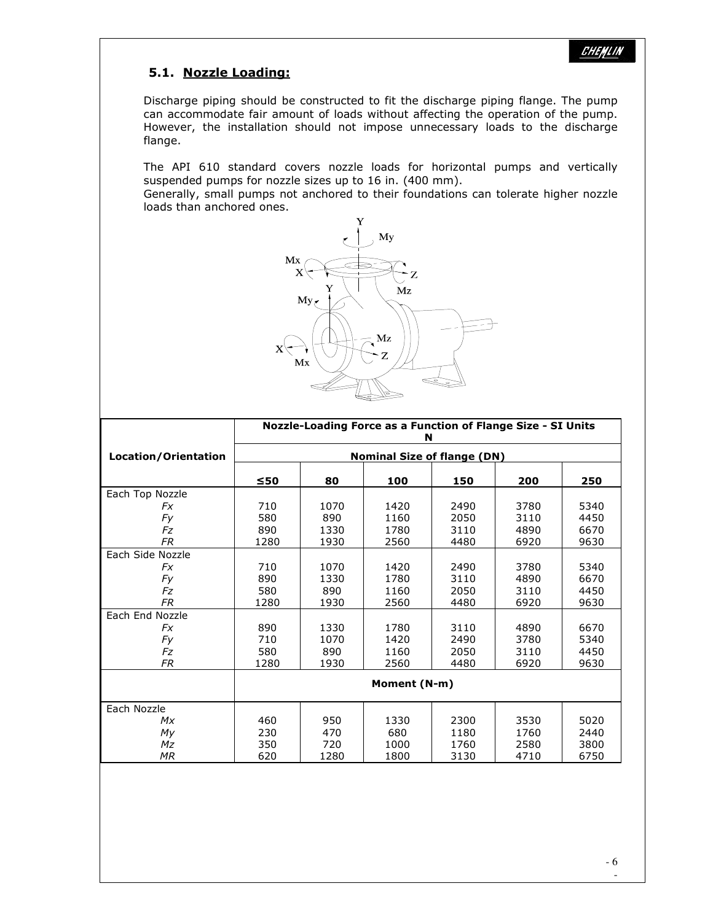## 5.1. Nozzle Loading:

Discharge piping should be constructed to fit the discharge piping flange. The pump can accommodate fair amount of loads without affecting the operation of the pump. However, the installation should not impose unnecessary loads to the discharge flange.

The API 610 standard covers nozzle loads for horizontal pumps and vertically suspended pumps for nozzle sizes up to 16 in. (400 mm).

Generally, small pumps not anchored to their foundations can tolerate higher nozzle loads than anchored ones.



|                      | Nozzle-Loading Force as a Function of Flange Size - SI Units<br>N |      |              |      |      |      |
|----------------------|-------------------------------------------------------------------|------|--------------|------|------|------|
| Location/Orientation | <b>Nominal Size of flange (DN)</b>                                |      |              |      |      |      |
|                      | $\leq 50$                                                         | 80   | 100          | 150  | 200  | 250  |
| Each Top Nozzle      |                                                                   |      |              |      |      |      |
| Fx                   | 710                                                               | 1070 | 1420         | 2490 | 3780 | 5340 |
| Fy                   | 580                                                               | 890  | 1160         | 2050 | 3110 | 4450 |
| Fz                   | 890                                                               | 1330 | 1780         | 3110 | 4890 | 6670 |
| <b>FR</b>            | 1280                                                              | 1930 | 2560         | 4480 | 6920 | 9630 |
| Each Side Nozzle     |                                                                   |      |              |      |      |      |
| Fx                   | 710                                                               | 1070 | 1420         | 2490 | 3780 | 5340 |
| Fy                   | 890                                                               | 1330 | 1780         | 3110 | 4890 | 6670 |
| Fz                   | 580                                                               | 890  | 1160         | 2050 | 3110 | 4450 |
| <b>FR</b>            | 1280                                                              | 1930 | 2560         | 4480 | 6920 | 9630 |
| Each End Nozzle      |                                                                   |      |              |      |      |      |
| Fx                   | 890                                                               | 1330 | 1780         | 3110 | 4890 | 6670 |
| Fy                   | 710                                                               | 1070 | 1420         | 2490 | 3780 | 5340 |
| Fz                   | 580                                                               | 890  | 1160         | 2050 | 3110 | 4450 |
| FR                   | 1280                                                              | 1930 | 2560         | 4480 | 6920 | 9630 |
|                      |                                                                   |      | Moment (N-m) |      |      |      |
| Each Nozzle          |                                                                   |      |              |      |      |      |
| Mx                   | 460                                                               | 950  | 1330         | 2300 | 3530 | 5020 |
| My                   | 230                                                               | 470  | 680          | 1180 | 1760 | 2440 |
| Mz                   | 350                                                               | 720  | 1000         | 1760 | 2580 | 3800 |
| <b>MR</b>            | 620                                                               | 1280 | 1800         | 3130 | 4710 | 6750 |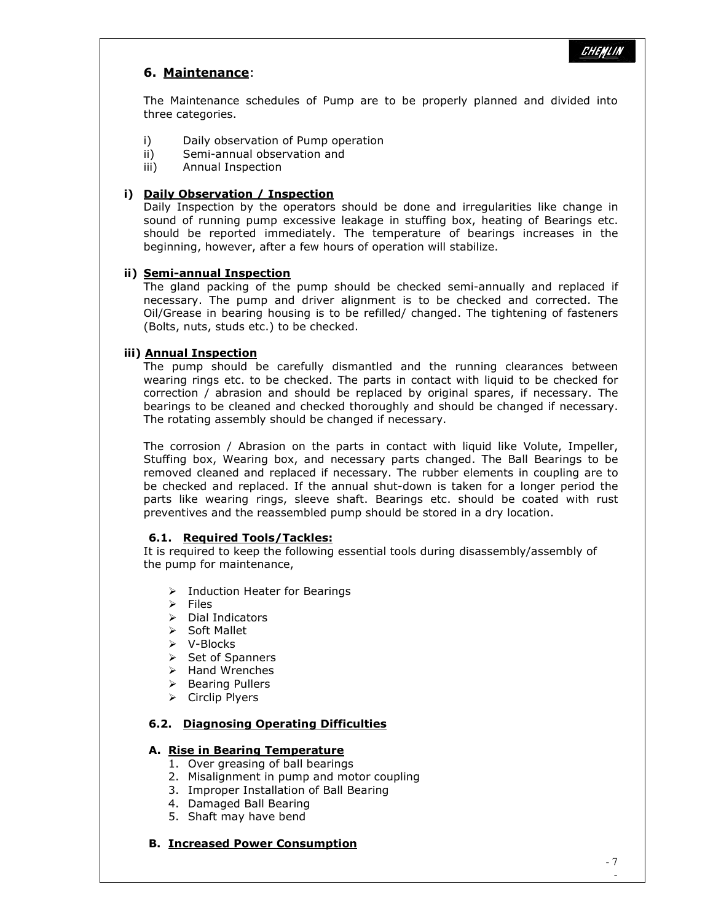## 6. Maintenance:

The Maintenance schedules of Pump are to be properly planned and divided into three categories.

- i) Daily observation of Pump operation
- ii) Semi-annual observation and
- iii) Annual Inspection

#### i) Daily Observation / Inspection

Daily Inspection by the operators should be done and irregularities like change in sound of running pump excessive leakage in stuffing box, heating of Bearings etc. should be reported immediately. The temperature of bearings increases in the beginning, however, after a few hours of operation will stabilize.

#### ii) Semi-annual Inspection

The gland packing of the pump should be checked semi-annually and replaced if necessary. The pump and driver alignment is to be checked and corrected. The Oil/Grease in bearing housing is to be refilled/ changed. The tightening of fasteners (Bolts, nuts, studs etc.) to be checked.

#### iii) Annual Inspection

 The pump should be carefully dismantled and the running clearances between wearing rings etc. to be checked. The parts in contact with liquid to be checked for correction / abrasion and should be replaced by original spares, if necessary. The bearings to be cleaned and checked thoroughly and should be changed if necessary. The rotating assembly should be changed if necessary.

 The corrosion / Abrasion on the parts in contact with liquid like Volute, Impeller, Stuffing box, Wearing box, and necessary parts changed. The Ball Bearings to be removed cleaned and replaced if necessary. The rubber elements in coupling are to be checked and replaced. If the annual shut-down is taken for a longer period the parts like wearing rings, sleeve shaft. Bearings etc. should be coated with rust preventives and the reassembled pump should be stored in a dry location.

#### 6.1. Required Tools/Tackles:

It is required to keep the following essential tools during disassembly/assembly of the pump for maintenance,

- $\triangleright$  Induction Heater for Bearings
- $\triangleright$  Files
- $\triangleright$  Dial Indicators
- $\triangleright$  Soft Mallet
- V-Blocks
- $\triangleright$  Set of Spanners
- $\triangleright$  Hand Wrenches
- $\triangleright$  Bearing Pullers
- $\triangleright$  Circlip Plyers

### 6.2. Diagnosing Operating Difficulties

#### A. Rise in Bearing Temperature

- 1. Over greasing of ball bearings
- 2. Misalignment in pump and motor coupling
- 3. Improper Installation of Ball Bearing
- 4. Damaged Ball Bearing
- 5. Shaft may have bend

#### B. Increased Power Consumption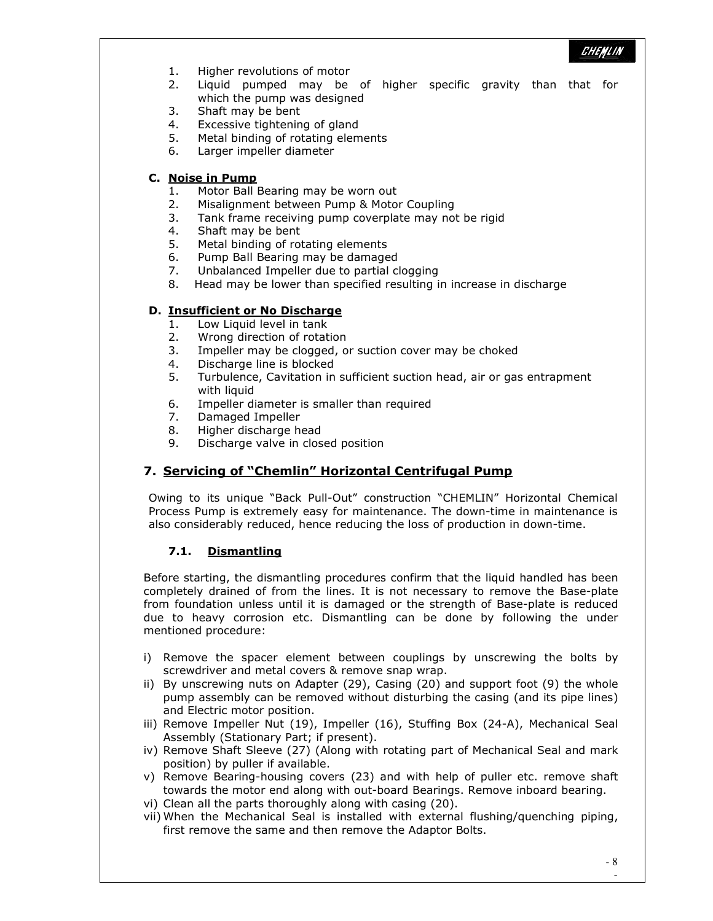- 1. Higher revolutions of motor
- 2. Liquid pumped may be of higher specific gravity than that for which the pump was designed
- 3. Shaft may be bent
- 4. Excessive tightening of gland
- 5. Metal binding of rotating elements
- 6. Larger impeller diameter

#### C. Noise in Pump

- 1. Motor Ball Bearing may be worn out
- 2. Misalignment between Pump & Motor Coupling
- 3. Tank frame receiving pump coverplate may not be rigid
- 4. Shaft may be bent
- 5. Metal binding of rotating elements
- 6. Pump Ball Bearing may be damaged
- 7. Unbalanced Impeller due to partial clogging
- 8. Head may be lower than specified resulting in increase in discharge

#### D. Insufficient or No Discharge

- 1. Low Liquid level in tank
- 2. Wrong direction of rotation
- 3. Impeller may be clogged, or suction cover may be choked
- 4. Discharge line is blocked
- 5. Turbulence, Cavitation in sufficient suction head, air or gas entrapment with liquid
- 6. Impeller diameter is smaller than required
- 7. Damaged Impeller
- 8. Higher discharge head
- 9. Discharge valve in closed position

## 7. Servicing of "Chemlin" Horizontal Centrifugal Pump

Owing to its unique "Back Pull-Out" construction "CHEMLIN" Horizontal Chemical Process Pump is extremely easy for maintenance. The down-time in maintenance is also considerably reduced, hence reducing the loss of production in down-time.

#### 7.1. Dismantling

Before starting, the dismantling procedures confirm that the liquid handled has been completely drained of from the lines. It is not necessary to remove the Base-plate from foundation unless until it is damaged or the strength of Base-plate is reduced due to heavy corrosion etc. Dismantling can be done by following the under mentioned procedure:

- i) Remove the spacer element between couplings by unscrewing the bolts by screwdriver and metal covers & remove snap wrap.
- ii) By unscrewing nuts on Adapter (29), Casing (20) and support foot (9) the whole pump assembly can be removed without disturbing the casing (and its pipe lines) and Electric motor position.
- iii) Remove Impeller Nut (19), Impeller (16), Stuffing Box (24-A), Mechanical Seal Assembly (Stationary Part; if present).
- iv) Remove Shaft Sleeve (27) (Along with rotating part of Mechanical Seal and mark position) by puller if available.
- v) Remove Bearing-housing covers (23) and with help of puller etc. remove shaft towards the motor end along with out-board Bearings. Remove inboard bearing.
- vi) Clean all the parts thoroughly along with casing (20).
- vii) When the Mechanical Seal is installed with external flushing/quenching piping, first remove the same and then remove the Adaptor Bolts.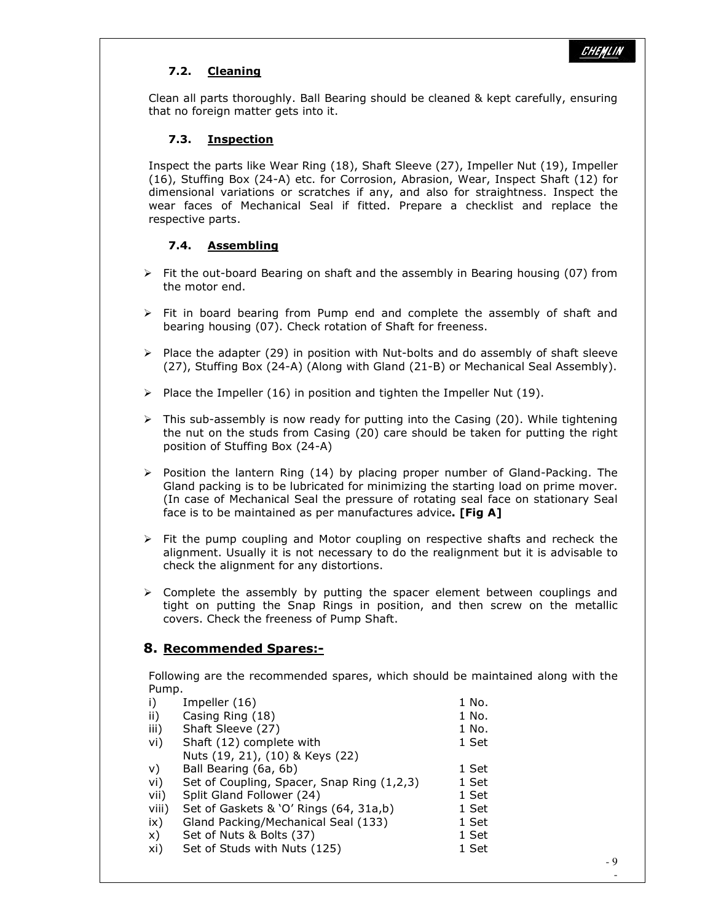### 7.2. Cleaning

Clean all parts thoroughly. Ball Bearing should be cleaned & kept carefully, ensuring that no foreign matter gets into it.

#### 7.3. Inspection

Inspect the parts like Wear Ring (18), Shaft Sleeve (27), Impeller Nut (19), Impeller (16), Stuffing Box (24-A) etc. for Corrosion, Abrasion, Wear, Inspect Shaft (12) for dimensional variations or scratches if any, and also for straightness. Inspect the wear faces of Mechanical Seal if fitted. Prepare a checklist and replace the respective parts.

#### 7.4. Assembling

- $\triangleright$  Fit the out-board Bearing on shaft and the assembly in Bearing housing (07) from the motor end.
- $\triangleright$  Fit in board bearing from Pump end and complete the assembly of shaft and bearing housing (07). Check rotation of Shaft for freeness.
- $\triangleright$  Place the adapter (29) in position with Nut-bolts and do assembly of shaft sleeve (27), Stuffing Box (24-A) (Along with Gland (21-B) or Mechanical Seal Assembly).
- $\triangleright$  Place the Impeller (16) in position and tighten the Impeller Nut (19).
- $\triangleright$  This sub-assembly is now ready for putting into the Casing (20). While tightening the nut on the studs from Casing (20) care should be taken for putting the right position of Stuffing Box (24-A)
- $\triangleright$  Position the lantern Ring (14) by placing proper number of Gland-Packing. The Gland packing is to be lubricated for minimizing the starting load on prime mover. (In case of Mechanical Seal the pressure of rotating seal face on stationary Seal face is to be maintained as per manufactures advice. [Fig A]
- $\triangleright$  Fit the pump coupling and Motor coupling on respective shafts and recheck the alignment. Usually it is not necessary to do the realignment but it is advisable to check the alignment for any distortions.
- $\triangleright$  Complete the assembly by putting the spacer element between couplings and tight on putting the Snap Rings in position, and then screw on the metallic covers. Check the freeness of Pump Shaft.

## 8. Recommended Spares:-

Following are the recommended spares, which should be maintained along with the Pump.

| i)            | Impeller (16)                              | 1 No. |     |
|---------------|--------------------------------------------|-------|-----|
| $\mathsf{ii}$ | Casing Ring (18)                           | 1 No. |     |
| iii)          | Shaft Sleeve (27)                          | 1 No. |     |
| vi)           | Shaft (12) complete with                   | 1 Set |     |
|               | Nuts (19, 21), (10) & Keys (22)            |       |     |
| V)            | Ball Bearing (6a, 6b)                      | 1 Set |     |
| vi)           | Set of Coupling, Spacer, Snap Ring (1,2,3) | 1 Set |     |
| vii)          | Split Gland Follower (24)                  | 1 Set |     |
| viii)         | Set of Gaskets & 'O' Rings (64, 31a,b)     | 1 Set |     |
| ix)           | Gland Packing/Mechanical Seal (133)        | 1 Set |     |
| X)            | Set of Nuts & Bolts (37)                   | 1 Set |     |
| xi)           | Set of Studs with Nuts (125)               | 1 Set |     |
|               |                                            |       | - 9 |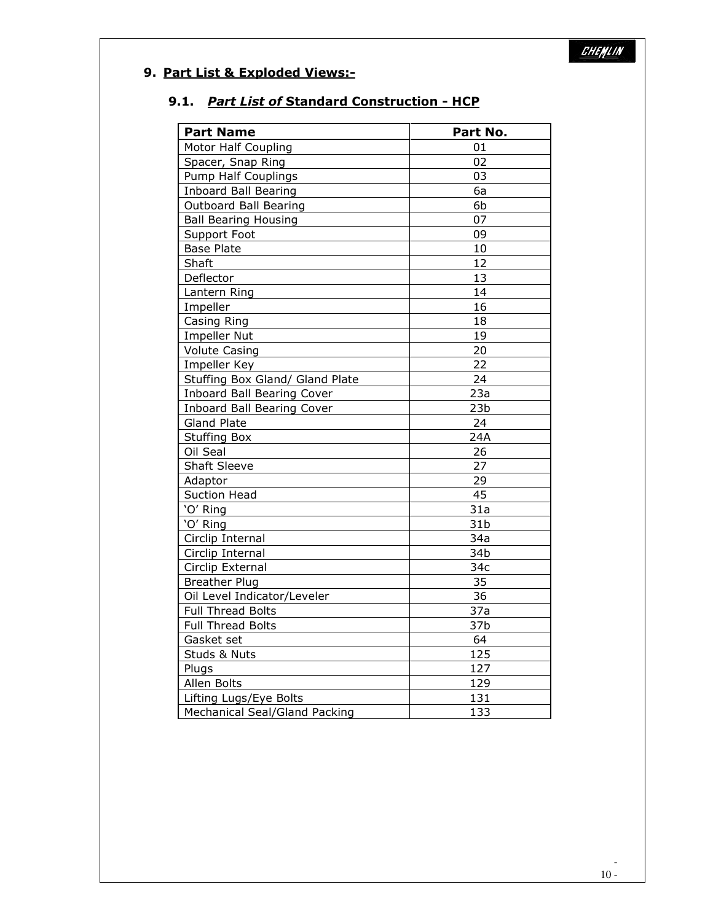## 9. Part List & Exploded Views:-

## 9.1. Part List of Standard Construction - HCP

| <b>Part Name</b>                  | Part No.        |
|-----------------------------------|-----------------|
| Motor Half Coupling               | 01              |
| Spacer, Snap Ring                 | 02              |
| <b>Pump Half Couplings</b>        | 03              |
| <b>Inboard Ball Bearing</b>       | 6a              |
| <b>Outboard Ball Bearing</b>      | 6b              |
| <b>Ball Bearing Housing</b>       | 07              |
| Support Foot                      | 09              |
| <b>Base Plate</b>                 | 10              |
| Shaft                             | 12              |
| Deflector                         | 13              |
| Lantern Ring                      | 14              |
| Impeller                          | 16              |
| Casing Ring                       | 18              |
| <b>Impeller Nut</b>               | 19              |
| <b>Volute Casing</b>              | 20              |
| Impeller Key                      | 22              |
| Stuffing Box Gland/ Gland Plate   | 24              |
| <b>Inboard Ball Bearing Cover</b> | 23a             |
| <b>Inboard Ball Bearing Cover</b> | 23 <sub>b</sub> |
| <b>Gland Plate</b>                | 24              |
| <b>Stuffing Box</b>               | 24A             |
| Oil Seal                          | 26              |
| <b>Shaft Sleeve</b>               | 27              |
| Adaptor                           | 29              |
| <b>Suction Head</b>               | 45              |
| 'O' Ring                          | 31a             |
| 'O' Ring                          | 31 <sub>b</sub> |
| Circlip Internal                  | 34a             |
| Circlip Internal                  | 34b             |
| Circlip External                  | 34c             |
| <b>Breather Plug</b>              | 35              |
| Oil Level Indicator/Leveler       | 36              |
| <b>Full Thread Bolts</b>          | 37a             |
| <b>Full Thread Bolts</b>          | 37b             |
| Gasket set                        | 64              |
| Studs & Nuts                      | 125             |
| Plugs                             | 127             |
| Allen Bolts                       | 129             |
| Lifting Lugs/Eye Bolts            | 131             |
| Mechanical Seal/Gland Packing     | 133             |

-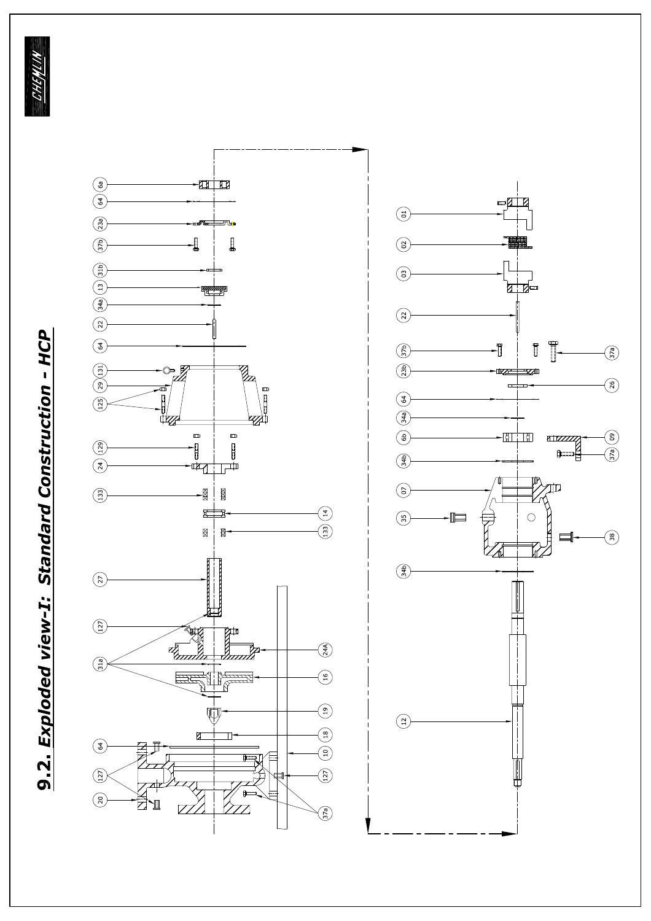**BHAYAN** 



9.2. Exploded view-I: Standard Construction - HCP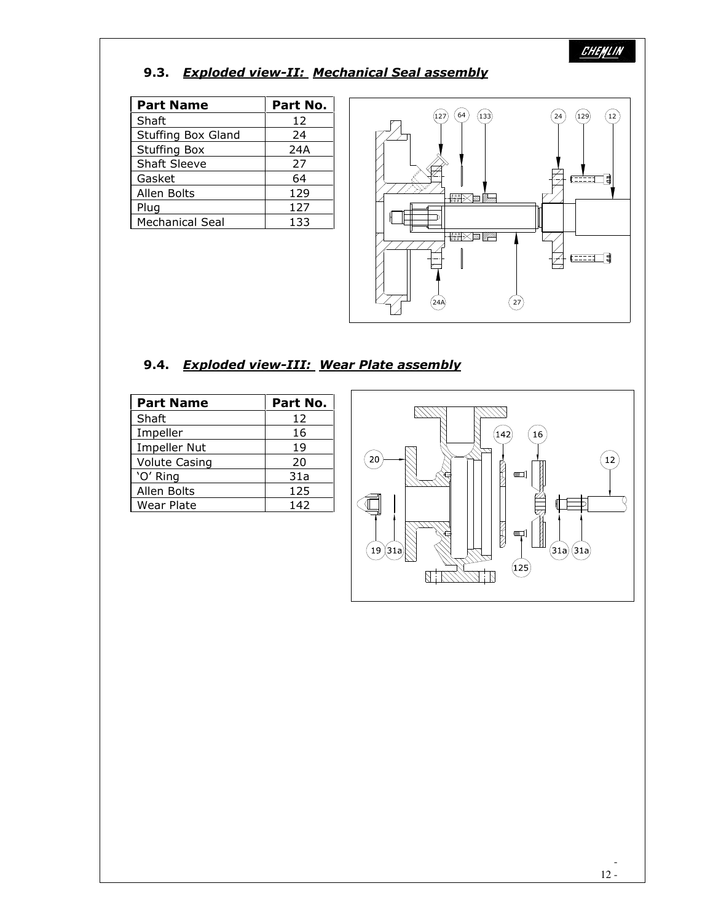# 9.3. Exploded view-II: Mechanical Seal assembly

| <b>Part Name</b>       | Part No. |
|------------------------|----------|
| Shaft                  | 12       |
| Stuffing Box Gland     | 24       |
| <b>Stuffing Box</b>    | 24A      |
| <b>Shaft Sleeve</b>    | 27       |
| Gasket                 | 64       |
| Allen Bolts            | 129      |
| Plug                   | 127      |
| <b>Mechanical Seal</b> | 133      |



## 9.4. Exploded view-III: Wear Plate assembly

-

| <b>Part Name</b>     | Part No. |
|----------------------|----------|
| Shaft                | 12       |
| Impeller             | 16       |
| Impeller Nut         | 19       |
| <b>Volute Casing</b> | 20       |
| 'O' Ring             | 31a      |
| Allen Bolts          | 125      |
| Wear Plate           | 142      |